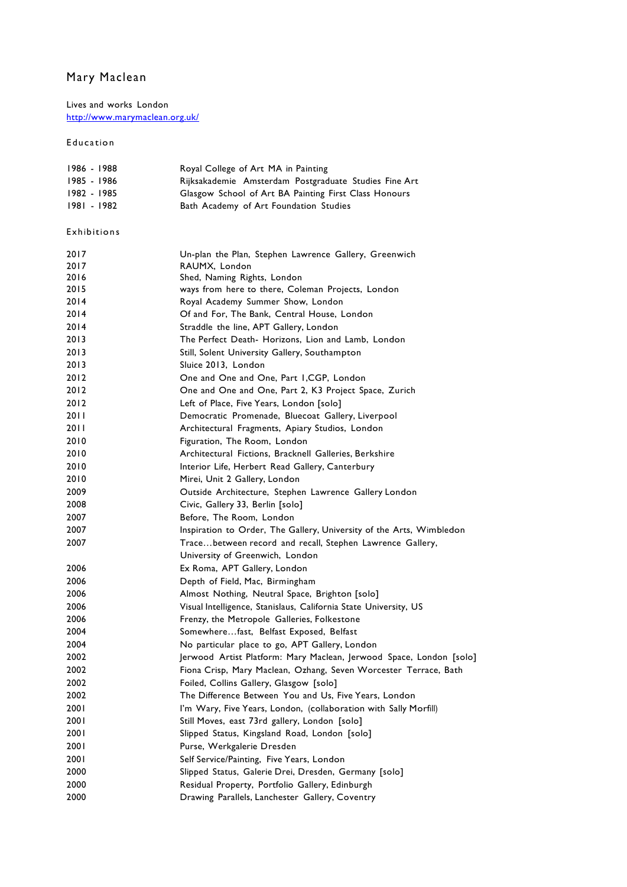## Mary Maclean

Lives and works London

http://www.marymaclean.org.uk/

**Education** 

| 1986 - 1988 | Royal College of Art MA in Painting                                                          |
|-------------|----------------------------------------------------------------------------------------------|
| 1985 - 1986 | Rijksakademie Amsterdam Postgraduate Studies Fine Art                                        |
| 1982 - 1985 | Glasgow School of Art BA Painting First Class Honours                                        |
| 1981 - 1982 | Bath Academy of Art Foundation Studies                                                       |
| Exhibitions |                                                                                              |
| 2017        | Un-plan the Plan, Stephen Lawrence Gallery, Greenwich                                        |
| 2017        | RAUMX, London                                                                                |
| 2016        | Shed, Naming Rights, London                                                                  |
| 2015        | ways from here to there, Coleman Projects, London                                            |
| 2014        | Royal Academy Summer Show, London                                                            |
| 2014        | Of and For, The Bank, Central House, London                                                  |
| 2014        | Straddle the line, APT Gallery, London                                                       |
| 2013        | The Perfect Death- Horizons, Lion and Lamb, London                                           |
| 2013        | Still, Solent University Gallery, Southampton                                                |
| 2013        | Sluice 2013, London                                                                          |
| 2012        | One and One and One, Part 1, CGP, London                                                     |
| 2012        | One and One and One, Part 2, K3 Project Space, Zurich                                        |
| 2012        | Left of Place, Five Years, London [solo]                                                     |
| 2011        | Democratic Promenade, Bluecoat Gallery, Liverpool                                            |
| 2011        | Architectural Fragments, Apiary Studios, London                                              |
| 2010        | Figuration, The Room, London                                                                 |
| 2010        | Architectural Fictions, Bracknell Galleries, Berkshire                                       |
| 2010        | Interior Life, Herbert Read Gallery, Canterbury                                              |
| 2010        | Mirei, Unit 2 Gallery, London                                                                |
| 2009        | Outside Architecture, Stephen Lawrence Gallery London                                        |
| 2008        | Civic, Gallery 33, Berlin [solo]                                                             |
| 2007        | Before, The Room, London                                                                     |
| 2007        | Inspiration to Order, The Gallery, University of the Arts, Wimbledon                         |
| 2007        | Tracebetween record and recall, Stephen Lawrence Gallery,<br>University of Greenwich, London |
| 2006        | Ex Roma, APT Gallery, London                                                                 |
| 2006        | Depth of Field, Mac, Birmingham                                                              |
| 2006        | Almost Nothing, Neutral Space, Brighton [solo]                                               |
| 2006        | Visual Intelligence, Stanislaus, California State University, US                             |
| 2006        | Frenzy, the Metropole Galleries, Folkestone                                                  |
| 2004        | Somewherefast, Belfast Exposed, Belfast                                                      |
| 2004        | No particular place to go, APT Gallery, London                                               |
| 2002        | Jerwood Artist Platform: Mary Maclean, Jerwood Space, London [solo]                          |
| 2002        | Fiona Crisp, Mary Maclean, Ozhang, Seven Worcester Terrace, Bath                             |
| 2002        | Foiled, Collins Gallery, Glasgow [solo]                                                      |
| 2002        | The Difference Between You and Us, Five Years, London                                        |
| 2001        | I'm Wary, Five Years, London, (collaboration with Sally Morfill)                             |
| 2001        | Still Moves, east 73rd gallery, London [solo]                                                |
| 2001        | Slipped Status, Kingsland Road, London [solo]                                                |
| 2001        | Purse, Werkgalerie Dresden                                                                   |
| 2001        | Self Service/Painting, Five Years, London                                                    |
| 2000        | Slipped Status, Galerie Drei, Dresden, Germany [solo]                                        |
| 2000        | Residual Property, Portfolio Gallery, Edinburgh                                              |
| 2000        | Drawing Parallels, Lanchester Gallery, Coventry                                              |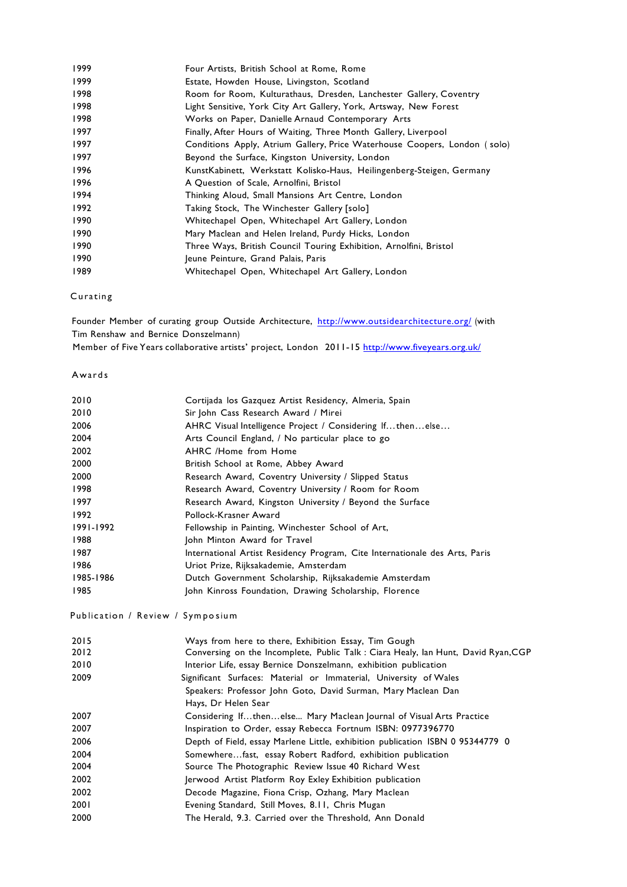| 1999 | Four Artists, British School at Rome, Rome                                |
|------|---------------------------------------------------------------------------|
| 1999 | Estate, Howden House, Livingston, Scotland                                |
| 1998 | Room for Room, Kulturathaus, Dresden, Lanchester Gallery, Coventry        |
| 1998 | Light Sensitive, York City Art Gallery, York, Artsway, New Forest         |
| 1998 | Works on Paper, Danielle Arnaud Contemporary Arts                         |
| 1997 | Finally, After Hours of Waiting, Three Month Gallery, Liverpool           |
| 1997 | Conditions Apply, Atrium Gallery, Price Waterhouse Coopers, London (solo) |
| 1997 | Beyond the Surface, Kingston University, London                           |
| 1996 | KunstKabinett, Werkstatt Kolisko-Haus, Heilingenberg-Steigen, Germany     |
| 1996 | A Question of Scale, Arnolfini, Bristol                                   |
| 1994 | Thinking Aloud, Small Mansions Art Centre, London                         |
| 1992 | Taking Stock, The Winchester Gallery [solo]                               |
| 1990 | Whitechapel Open, Whitechapel Art Gallery, London                         |
| 1990 | Mary Maclean and Helen Ireland, Purdy Hicks, London                       |
| 1990 | Three Ways, British Council Touring Exhibition, Arnolfini, Bristol        |
| 1990 | Jeune Peinture, Grand Palais, Paris                                       |
| 1989 | Whitechapel Open, Whitechapel Art Gallery, London                         |
|      |                                                                           |

## **Curating**

Founder Member of curating group Outside Architecture, http://www.outsidearchitecture.org/ (with Tim Renshaw and Bernice Donszelmann)

Member of Five Years collaborative artists' project, London 2011-15 http://www.fiveyears.org.uk/

Awa rd s

| 2010          | Cortijada los Gazquez Artist Residency, Almeria, Spain                            |
|---------------|-----------------------------------------------------------------------------------|
| 2010          | Sir John Cass Research Award / Mirei                                              |
| 2006          | AHRC Visual Intelligence Project / Considering Ifthenelse                         |
| 2004          | Arts Council England, / No particular place to go                                 |
| 2002          | AHRC /Home from Home                                                              |
| 2000          | British School at Rome, Abbey Award                                               |
| 2000          | Research Award, Coventry University / Slipped Status                              |
| 1998          | Research Award, Coventry University / Room for Room                               |
| 1997          | Research Award, Kingston University / Beyond the Surface                          |
| 1992          | Pollock-Krasner Award                                                             |
| $1991 - 1992$ | Fellowship in Painting, Winchester School of Art,                                 |
| 1988          | John Minton Award for Travel                                                      |
| 1987          | International Artist Residency Program, Cite Internationale des Arts, Paris       |
| 1986          | Uriot Prize, Rijksakademie, Amsterdam                                             |
| 1985-1986     | Dutch Government Scholarship, Rijksakademie Amsterdam                             |
| 1985          | John Kinross Foundation, Drawing Scholarship, Florence                            |
|               | Publication / Review / Symposium                                                  |
| 2015          | Ways from here to there, Exhibition Essay, Tim Gough                              |
| 2012          | Conversing on the Incomplete, Public Talk: Ciara Healy, Ian Hunt, David Ryan, CGP |
| 2010          | Interior Life, essay Bernice Donszelmann, exhibition publication                  |

| 2009 | Significant Surfaces: Material or Immaterial, University of Wales              |
|------|--------------------------------------------------------------------------------|
|      | Speakers: Professor John Goto, David Surman, Mary Maclean Dan                  |
|      | Hays, Dr Helen Sear                                                            |
| 2007 | Considering Ifthenelse Mary Maclean Journal of Visual Arts Practice            |
| 2007 | Inspiration to Order, essay Rebecca Fortnum ISBN: 0977396770                   |
| 2006 | Depth of Field, essay Marlene Little, exhibition publication ISBN 0 95344779 0 |
| 2004 | Somewherefast, essay Robert Radford, exhibition publication                    |
| 2004 | Source The Photographic Review Issue 40 Richard West                           |
| 2002 | Jerwood Artist Platform Roy Exley Exhibition publication                       |
| 2002 | Decode Magazine, Fiona Crisp, Ozhang, Mary Maclean                             |
| 2001 | Evening Standard, Still Moves, 8.11, Chris Mugan                               |
| 2000 | The Herald, 9.3. Carried over the Threshold, Ann Donald                        |